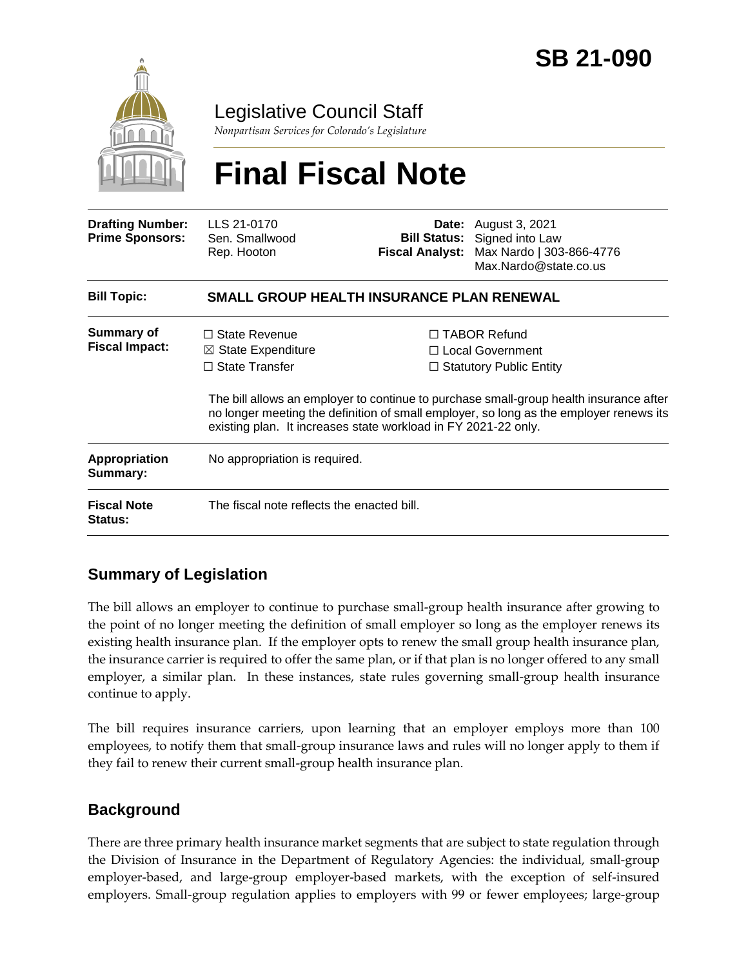

Legislative Council Staff

*Nonpartisan Services for Colorado's Legislature*

# **Final Fiscal Note**

| <b>Drafting Number:</b><br><b>Prime Sponsors:</b> | LLS 21-0170<br>Sen. Smallwood<br>Rep. Hooton                                                    | <b>Bill Status:</b><br><b>Fiscal Analyst:</b> | <b>Date:</b> August 3, 2021<br>Signed into Law<br>Max Nardo   303-866-4776<br>Max.Nardo@state.co.us                                                                                                                                                                  |  |
|---------------------------------------------------|-------------------------------------------------------------------------------------------------|-----------------------------------------------|----------------------------------------------------------------------------------------------------------------------------------------------------------------------------------------------------------------------------------------------------------------------|--|
| <b>Bill Topic:</b>                                | <b>SMALL GROUP HEALTH INSURANCE PLAN RENEWAL</b>                                                |                                               |                                                                                                                                                                                                                                                                      |  |
| <b>Summary of</b><br><b>Fiscal Impact:</b>        | $\Box$ State Revenue<br>$\boxtimes$ State Expenditure<br>$\Box$ State Transfer                  |                                               | $\Box$ TABOR Refund<br>$\Box$ Local Government<br>$\Box$ Statutory Public Entity<br>The bill allows an employer to continue to purchase small-group health insurance after<br>no longer meeting the definition of small employer, so long as the employer renews its |  |
| <b>Appropriation</b><br>Summary:                  | existing plan. It increases state workload in FY 2021-22 only.<br>No appropriation is required. |                                               |                                                                                                                                                                                                                                                                      |  |
| <b>Fiscal Note</b><br><b>Status:</b>              | The fiscal note reflects the enacted bill.                                                      |                                               |                                                                                                                                                                                                                                                                      |  |

# **Summary of Legislation**

The bill allows an employer to continue to purchase small-group health insurance after growing to the point of no longer meeting the definition of small employer so long as the employer renews its existing health insurance plan. If the employer opts to renew the small group health insurance plan, the insurance carrier is required to offer the same plan, or if that plan is no longer offered to any small employer, a similar plan. In these instances, state rules governing small-group health insurance continue to apply.

The bill requires insurance carriers, upon learning that an employer employs more than 100 employees, to notify them that small-group insurance laws and rules will no longer apply to them if they fail to renew their current small-group health insurance plan.

## **Background**

There are three primary health insurance market segments that are subject to state regulation through the Division of Insurance in the Department of Regulatory Agencies: the individual, small-group employer-based, and large-group employer-based markets, with the exception of self-insured employers. Small-group regulation applies to employers with 99 or fewer employees; large-group